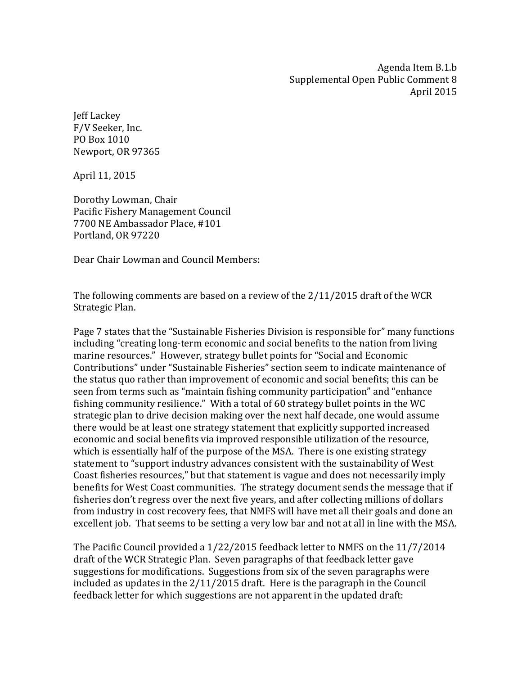Agenda Item B.1.b Supplemental Open Public Comment 8 April 2015

Jeff Lackey F/V Seeker, Inc. PO Box 1010 Newport, OR 97365

April 11, 2015

Dorothy Lowman, Chair Pacific Fishery Management Council 7700 NE Ambassador Place, #101 Portland, OR 97220

Dear Chair Lowman and Council Members:

The following comments are based on a review of the 2/11/2015 draft of the WCR Strategic Plan.

Page 7 states that the "Sustainable Fisheries Division is responsible for" many functions including "creating long-term economic and social benefits to the nation from living marine resources." However, strategy bullet points for "Social and Economic Contributions" under "Sustainable Fisheries" section seem to indicate maintenance of the status quo rather than improvement of economic and social benefits; this can be seen from terms such as "maintain fishing community participation" and "enhance fishing community resilience." With a total of 60 strategy bullet points in the WC strategic plan to drive decision making over the next half decade, one would assume there would be at least one strategy statement that explicitly supported increased economic and social benefits via improved responsible utilization of the resource, which is essentially half of the purpose of the MSA. There is one existing strategy statement to "support industry advances consistent with the sustainability of West Coast fisheries resources," but that statement is vague and does not necessarily imply benefits for West Coast communities. The strategy document sends the message that if fisheries don't regress over the next five years, and after collecting millions of dollars from industry in cost recovery fees, that NMFS will have met all their goals and done an excellent job. That seems to be setting a very low bar and not at all in line with the MSA.

The Pacific Council provided a 1/22/2015 feedback letter to NMFS on the 11/7/2014 draft of the WCR Strategic Plan. Seven paragraphs of that feedback letter gave suggestions for modifications. Suggestions from six of the seven paragraphs were included as updates in the 2/11/2015 draft. Here is the paragraph in the Council feedback letter for which suggestions are not apparent in the updated draft: